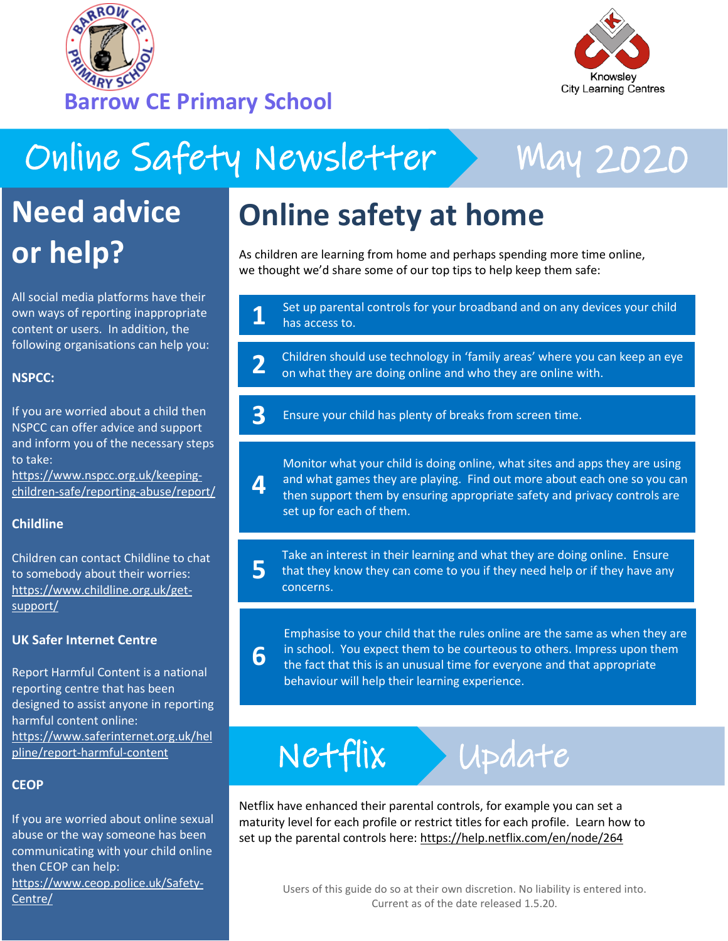



# Online Safety Newsletter > May 2020

**6**



## **Need advice or help?**

All social media platforms have their own ways of reporting inappropriate content or users. In addition, the following organisations can help you:

### **NSPCC:**

If you are worried about a child then NSPCC can offer advice and support and inform you of the necessary steps to take:

[https://www.nspcc.org.uk/keeping](https://www.nspcc.org.uk/keeping-children-safe/reporting-abuse/report/)[children-safe/reporting-abuse/report/](https://www.nspcc.org.uk/keeping-children-safe/reporting-abuse/report/)

### **Childline**

Children can contact Childline to chat to somebody about their worries: [https://www.childline.org.uk/get](https://www.childline.org.uk/get-support/)[support/](https://www.childline.org.uk/get-support/)

### **UK Safer Internet Centre**

Report Harmful Content is a national reporting centre that has been designed to assist anyone in reporting harmful content online: [https://www.saferinternet.org.uk/hel](https://www.saferinternet.org.uk/helpline/report-harmful-content) [pline/report-harmful-content](https://www.saferinternet.org.uk/helpline/report-harmful-content)

### **CEOP**

If you are worried about online sexual abuse or the way someone has been communicating with your child online then CEOP can help: [https://www.ceop.police.uk/Safety-](https://www.ceop.police.uk/Safety-Centre/)[Centre/](https://www.ceop.police.uk/Safety-Centre/)

## **Online safety at home**

As children are learning from home and perhaps spending more time online, we thought we'd share some of our top tips to help keep them safe:

Set up parental controls for your broadband and on any devices your child has access to. **1**

Children should use technology in 'family areas' where you can keep an eye on what they are doing online and who they are online with. **2**

Ensure your child has plenty of breaks from screen time. **3**

Monitor what your child is doing online, what sites and apps they are using and what games they are playing. Find out more about each one so you can then support them by ensuring appropriate safety and privacy controls are set up for each of them. **4**

Take an interest in their learning and what they are doing online. Ensure that they know they can come to you if they need help or if they have any concerns. **5**

Emphasise to your child that the rules online are the same as when they are in school. You expect them to be courteous to others. Impress upon them the fact that this is an unusual time for everyone and that appropriate behaviour will help their learning experience.

# Netflix Update

Netflix have enhanced their parental controls, for example you can set a maturity level for each profile or restrict titles for each profile. Learn how to set up the parental controls here: <https://help.netflix.com/en/node/264>

> Users of this guide do so at their own discretion. No liability is entered into. Current as of the date released 1.5.20.